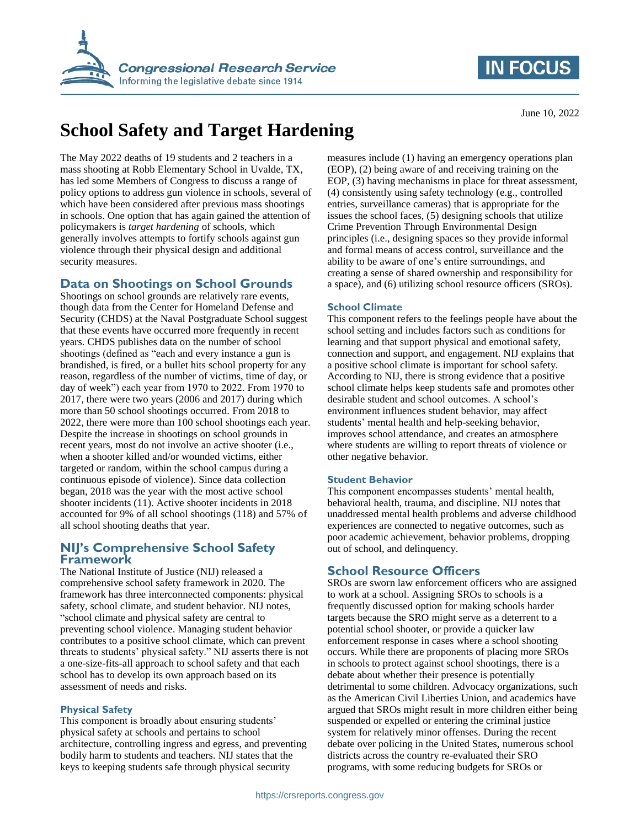



# **School Safety and Target Hardening**

The May 2022 deaths of 19 students and 2 teachers in a mass shooting at Robb Elementary School in Uvalde, TX, has led some Members of Congress to discuss a range of policy options to address gun violence in schools, several of which have been considered after previous mass shootings in schools. One option that has again gained the attention of policymakers is *target hardening* of schools, which generally involves attempts to fortify schools against gun violence through their physical design and additional security measures.

## **Data on Shootings on School Grounds**

Shootings on school grounds are relatively rare events, though data from the Center for Homeland Defense and Security (CHDS) at the Naval Postgraduate School suggest that these events have occurred more frequently in recent years. CHDS publishes data on the number of school shootings (defined as "each and every instance a gun is brandished, is fired, or a bullet hits school property for any reason, regardless of the number of victims, time of day, or day of week") each year from 1970 to 2022. From 1970 to 2017, there were two years (2006 and 2017) during which more than 50 school shootings occurred. From 2018 to 2022, there were more than 100 school shootings each year. Despite the increase in shootings on school grounds in recent years, most do not involve an active shooter (i.e., when a shooter killed and/or wounded victims, either targeted or random, within the school campus during a continuous episode of violence). Since data collection began, 2018 was the year with the most active school shooter incidents (11). Active shooter incidents in 2018 accounted for 9% of all school shootings (118) and 57% of all school shooting deaths that year.

#### **NIJ's Comprehensive School Safety Framework**

The National Institute of Justice (NIJ) released a comprehensive school safety framework in 2020. The framework has three interconnected components: physical safety, school climate, and student behavior. NIJ notes, "school climate and physical safety are central to preventing school violence. Managing student behavior contributes to a positive school climate, which can prevent threats to students' physical safety." NIJ asserts there is not a one-size-fits-all approach to school safety and that each school has to develop its own approach based on its assessment of needs and risks.

#### **Physical Safety**

This component is broadly about ensuring students' physical safety at schools and pertains to school architecture, controlling ingress and egress, and preventing bodily harm to students and teachers. NIJ states that the keys to keeping students safe through physical security

measures include (1) having an emergency operations plan (EOP), (2) being aware of and receiving training on the EOP, (3) having mechanisms in place for threat assessment, (4) consistently using safety technology (e.g., controlled entries, surveillance cameras) that is appropriate for the issues the school faces, (5) designing schools that utilize Crime Prevention Through Environmental Design principles (i.e., designing spaces so they provide informal and formal means of access control, surveillance and the ability to be aware of one's entire surroundings, and creating a sense of shared ownership and responsibility for a space), and (6) utilizing school resource officers (SROs).

#### **School Climate**

This component refers to the feelings people have about the school setting and includes factors such as conditions for learning and that support physical and emotional safety, connection and support, and engagement. NIJ explains that a positive school climate is important for school safety. According to NIJ, there is strong evidence that a positive school climate helps keep students safe and promotes other desirable student and school outcomes. A school's environment influences student behavior, may affect students' mental health and help-seeking behavior, improves school attendance, and creates an atmosphere where students are willing to report threats of violence or other negative behavior.

#### **Student Behavior**

This component encompasses students' mental health, behavioral health, trauma, and discipline. NIJ notes that unaddressed mental health problems and adverse childhood experiences are connected to negative outcomes, such as poor academic achievement, behavior problems, dropping out of school, and delinquency.

## **School Resource Officers**

SROs are sworn law enforcement officers who are assigned to work at a school. Assigning SROs to schools is a frequently discussed option for making schools harder targets because the SRO might serve as a deterrent to a potential school shooter, or provide a quicker law enforcement response in cases where a school shooting occurs. While there are proponents of placing more SROs in schools to protect against school shootings, there is a debate about whether their presence is potentially detrimental to some children. Advocacy organizations, such as the American Civil Liberties Union, and academics have argued that SROs might result in more children either being suspended or expelled or entering the criminal justice system for relatively minor offenses. During the recent debate over policing in the United States, numerous school districts across the country re-evaluated their SRO programs, with some reducing budgets for SROs or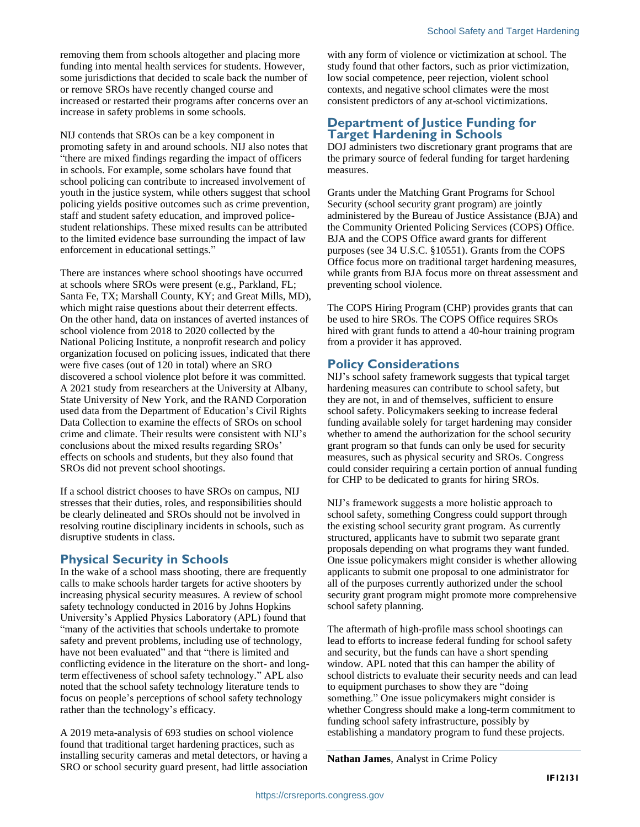removing them from schools altogether and placing more funding into mental health services for students. However, some jurisdictions that decided to scale back the number of or remove SROs have recently changed course and increased or restarted their programs after concerns over an increase in safety problems in some schools.

NIJ contends that SROs can be a key component in promoting safety in and around schools. NIJ also notes that "there are mixed findings regarding the impact of officers in schools. For example, some scholars have found that school policing can contribute to increased involvement of youth in the justice system, while others suggest that school policing yields positive outcomes such as crime prevention, staff and student safety education, and improved policestudent relationships. These mixed results can be attributed to the limited evidence base surrounding the impact of law enforcement in educational settings."

There are instances where school shootings have occurred at schools where SROs were present (e.g., Parkland, FL; Santa Fe, TX; Marshall County, KY; and Great Mills, MD), which might raise questions about their deterrent effects. On the other hand, data on instances of averted instances of school violence from 2018 to 2020 collected by the National Policing Institute, a nonprofit research and policy organization focused on policing issues, indicated that there were five cases (out of 120 in total) where an SRO discovered a school violence plot before it was committed. A 2021 study from researchers at the University at Albany, State University of New York, and the RAND Corporation used data from the Department of Education's Civil Rights Data Collection to examine the effects of SROs on school crime and climate. Their results were consistent with NIJ's conclusions about the mixed results regarding SROs' effects on schools and students, but they also found that SROs did not prevent school shootings.

If a school district chooses to have SROs on campus, NIJ stresses that their duties, roles, and responsibilities should be clearly delineated and SROs should not be involved in resolving routine disciplinary incidents in schools, such as disruptive students in class.

#### **Physical Security in Schools**

In the wake of a school mass shooting, there are frequently calls to make schools harder targets for active shooters by increasing physical security measures. A review of school safety technology conducted in 2016 by Johns Hopkins University's Applied Physics Laboratory (APL) found that "many of the activities that schools undertake to promote safety and prevent problems, including use of technology, have not been evaluated" and that "there is limited and conflicting evidence in the literature on the short- and longterm effectiveness of school safety technology." APL also noted that the school safety technology literature tends to focus on people's perceptions of school safety technology rather than the technology's efficacy.

A 2019 meta-analysis of 693 studies on school violence found that traditional target hardening practices, such as installing security cameras and metal detectors, or having a SRO or school security guard present, had little association

with any form of violence or victimization at school. The study found that other factors, such as prior victimization, low social competence, peer rejection, violent school contexts, and negative school climates were the most consistent predictors of any at-school victimizations.

#### **Department of Justice Funding for Target Hardening in Schools**

DOJ administers two discretionary grant programs that are the primary source of federal funding for target hardening measures.

Grants under the Matching Grant Programs for School Security (school security grant program) are jointly administered by the Bureau of Justice Assistance (BJA) and the Community Oriented Policing Services (COPS) Office. BJA and the COPS Office award grants for different purposes (see 34 U.S.C. §10551). Grants from the COPS Office focus more on traditional target hardening measures, while grants from BJA focus more on threat assessment and preventing school violence.

The COPS Hiring Program (CHP) provides grants that can be used to hire SROs. The COPS Office requires SROs hired with grant funds to attend a 40-hour training program from a provider it has approved.

## **Policy Considerations**

NIJ's school safety framework suggests that typical target hardening measures can contribute to school safety, but they are not, in and of themselves, sufficient to ensure school safety. Policymakers seeking to increase federal funding available solely for target hardening may consider whether to amend the authorization for the school security grant program so that funds can only be used for security measures, such as physical security and SROs. Congress could consider requiring a certain portion of annual funding for CHP to be dedicated to grants for hiring SROs.

NIJ's framework suggests a more holistic approach to school safety, something Congress could support through the existing school security grant program. As currently structured, applicants have to submit two separate grant proposals depending on what programs they want funded. One issue policymakers might consider is whether allowing applicants to submit one proposal to one administrator for all of the purposes currently authorized under the school security grant program might promote more comprehensive school safety planning.

The aftermath of high-profile mass school shootings can lead to efforts to increase federal funding for school safety and security, but the funds can have a short spending window. APL noted that this can hamper the ability of school districts to evaluate their security needs and can lead to equipment purchases to show they are "doing something." One issue policymakers might consider is whether Congress should make a long-term commitment to funding school safety infrastructure, possibly by establishing a mandatory program to fund these projects.

**Nathan James**, Analyst in Crime Policy